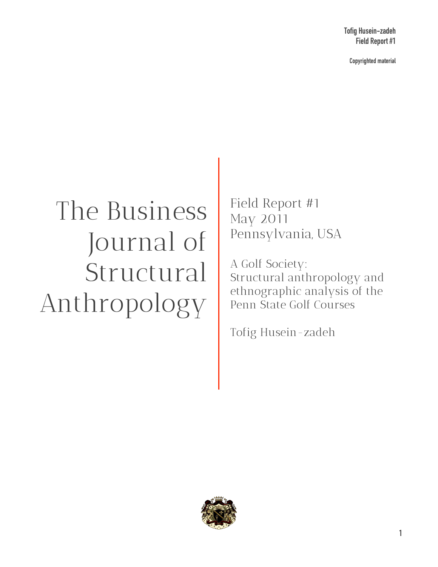# The Business Journal of Structural Anthropology

Field Report #1 May 2011 Pennsylvania, USA

A Golf Society: Structural anthropology and ethnographic analysis of the Penn State Golf Courses

Tofig Husein-zadeh

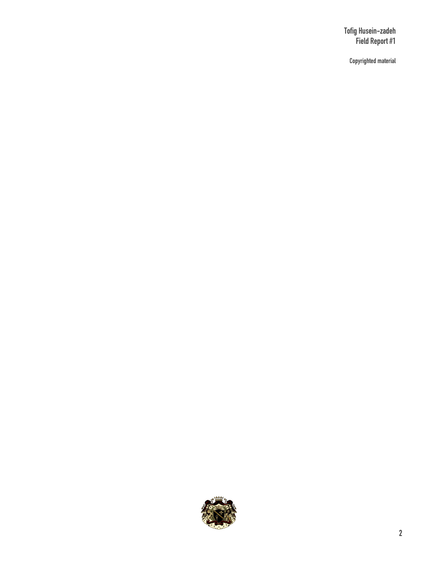**Tofig Husein-zadeh Field Report #1**

**Copyrighted material**

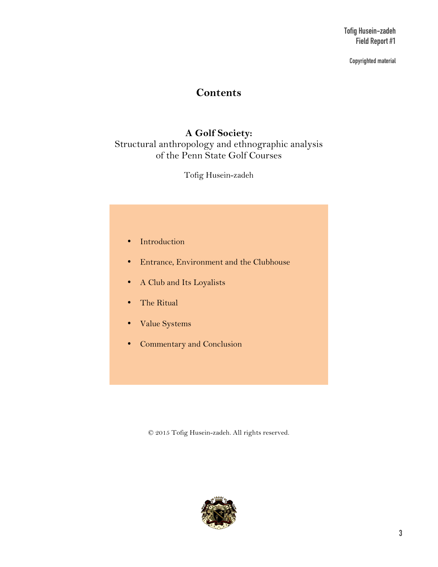**Tofig Husein-zadeh Field Report #1**

**Copyrighted material**

## **Contents**

### **A Golf Society:**  Structural anthropology and ethnographic analysis of the Penn State Golf Courses

Tofig Husein-zadeh

- **Introduction**
- Entrance, Environment and the Clubhouse
- A Club and Its Loyalists
- The Ritual
- Value Systems
- Commentary and Conclusion

© 2015 Tofig Husein-zadeh. All rights reserved.

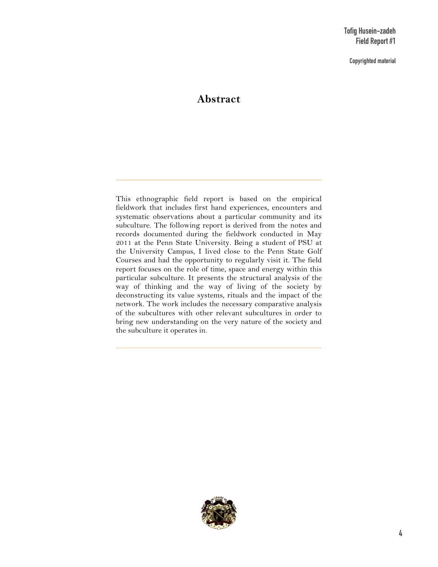## **Abstract**

This ethnographic field report is based on the empirical fieldwork that includes first hand experiences, encounters and systematic observations about a particular community and its subculture. The following report is derived from the notes and records documented during the fieldwork conducted in May 2011 at the Penn State University. Being a student of PSU at the University Campus, I lived close to the Penn State Golf Courses and had the opportunity to regularly visit it. The field report focuses on the role of time, space and energy within this particular subculture. It presents the structural analysis of the way of thinking and the way of living of the society by deconstructing its value systems, rituals and the impact of the network. The work includes the necessary comparative analysis of the subcultures with other relevant subcultures in order to bring new understanding on the very nature of the society and the subculture it operates in.

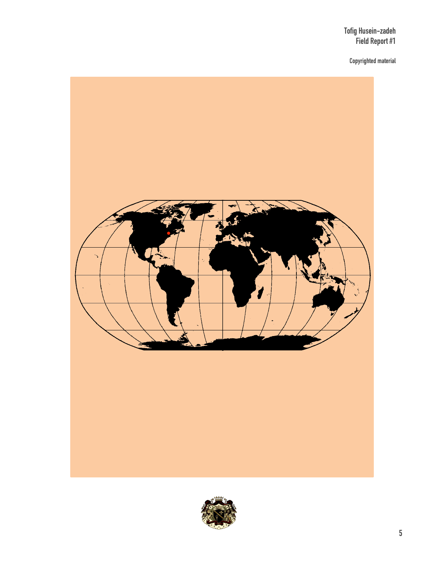**Tofig Husein-zadeh Field Report #1**

**Copyrighted material**



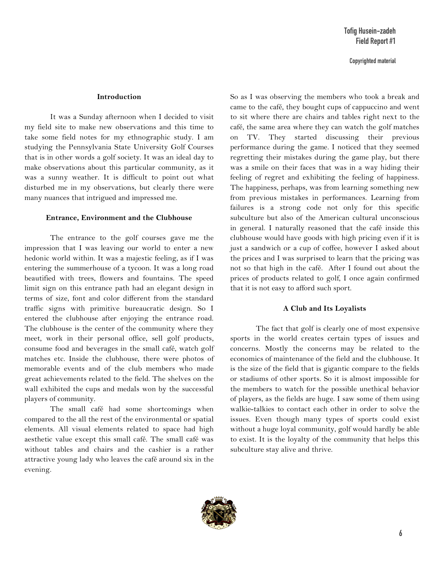#### **Introduction**

It was a Sunday afternoon when I decided to visit my field site to make new observations and this time to take some field notes for my ethnographic study. I am studying the Pennsylvania State University Golf Courses that is in other words a golf society. It was an ideal day to make observations about this particular community, as it was a sunny weather. It is difficult to point out what disturbed me in my observations, but clearly there were many nuances that intrigued and impressed me.

#### **Entrance, Environment and the Clubhouse**

The entrance to the golf courses gave me the impression that I was leaving our world to enter a new hedonic world within. It was a majestic feeling, as if I was entering the summerhouse of a tycoon. It was a long road beautified with trees, flowers and fountains. The speed limit sign on this entrance path had an elegant design in terms of size, font and color different from the standard traffic signs with primitive bureaucratic design. So I entered the clubhouse after enjoying the entrance road. The clubhouse is the center of the community where they meet, work in their personal office, sell golf products, consume food and beverages in the small café, watch golf matches etc. Inside the clubhouse, there were photos of memorable events and of the club members who made great achievements related to the field. The shelves on the wall exhibited the cups and medals won by the successful players of community.

The small café had some shortcomings when compared to the all the rest of the environmental or spatial elements. All visual elements related to space had high aesthetic value except this small café. The small café was without tables and chairs and the cashier is a rather attractive young lady who leaves the café around six in the evening.

So as I was observing the members who took a break and came to the café, they bought cups of cappuccino and went to sit where there are chairs and tables right next to the café, the same area where they can watch the golf matches on TV. They started discussing their previous performance during the game. I noticed that they seemed regretting their mistakes during the game play, but there was a smile on their faces that was in a way hiding their feeling of regret and exhibiting the feeling of happiness. The happiness, perhaps, was from learning something new from previous mistakes in performances. Learning from failures is a strong code not only for this specific subculture but also of the American cultural unconscious in general. I naturally reasoned that the café inside this clubhouse would have goods with high pricing even if it is just a sandwich or a cup of coffee, however I asked about the prices and I was surprised to learn that the pricing was not so that high in the café. After I found out about the prices of products related to golf, I once again confirmed that it is not easy to afford such sport.

#### **A Club and Its Loyalists**

The fact that golf is clearly one of most expensive sports in the world creates certain types of issues and concerns. Mostly the concerns may be related to the economics of maintenance of the field and the clubhouse. It is the size of the field that is gigantic compare to the fields or stadiums of other sports. So it is almost impossible for the members to watch for the possible unethical behavior of players, as the fields are huge. I saw some of them using walkie-talkies to contact each other in order to solve the issues. Even though many types of sports could exist without a huge loyal community, golf would hardly be able to exist. It is the loyalty of the community that helps this subculture stay alive and thrive.

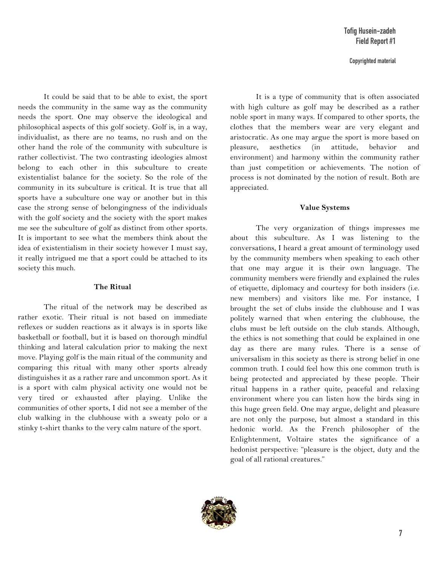It could be said that to be able to exist, the sport needs the community in the same way as the community needs the sport. One may observe the ideological and philosophical aspects of this golf society. Golf is, in a way, individualist, as there are no teams, no rush and on the other hand the role of the community with subculture is rather collectivist. The two contrasting ideologies almost belong to each other in this subculture to create existentialist balance for the society. So the role of the community in its subculture is critical. It is true that all sports have a subculture one way or another but in this case the strong sense of belongingness of the individuals with the golf society and the society with the sport makes me see the subculture of golf as distinct from other sports. It is important to see what the members think about the idea of existentialism in their society however I must say, it really intrigued me that a sport could be attached to its society this much.

#### **The Ritual**

The ritual of the network may be described as rather exotic. Their ritual is not based on immediate reflexes or sudden reactions as it always is in sports like basketball or football, but it is based on thorough mindful thinking and lateral calculation prior to making the next move. Playing golf is the main ritual of the community and comparing this ritual with many other sports already distinguishes it as a rather rare and uncommon sport. As it is a sport with calm physical activity one would not be very tired or exhausted after playing. Unlike the communities of other sports, I did not see a member of the club walking in the clubhouse with a sweaty polo or a stinky t-shirt thanks to the very calm nature of the sport.

It is a type of community that is often associated with high culture as golf may be described as a rather noble sport in many ways. If compared to other sports, the clothes that the members wear are very elegant and aristocratic. As one may argue the sport is more based on pleasure, aesthetics (in attitude, behavior and environment) and harmony within the community rather than just competition or achievements. The notion of process is not dominated by the notion of result. Both are appreciated.

#### **Value Systems**

The very organization of things impresses me about this subculture. As I was listening to the conversations, I heard a great amount of terminology used by the community members when speaking to each other that one may argue it is their own language. The community members were friendly and explained the rules of etiquette, diplomacy and courtesy for both insiders (i.e. new members) and visitors like me. For instance, I brought the set of clubs inside the clubhouse and I was politely warned that when entering the clubhouse, the clubs must be left outside on the club stands. Although, the ethics is not something that could be explained in one day as there are many rules. There is a sense of universalism in this society as there is strong belief in one common truth. I could feel how this one common truth is being protected and appreciated by these people. Their ritual happens in a rather quite, peaceful and relaxing environment where you can listen how the birds sing in this huge green field. One may argue, delight and pleasure are not only the purpose, but almost a standard in this hedonic world. As the French philosopher of the Enlightenment, Voltaire states the significance of a hedonist perspective: "pleasure is the object, duty and the goal of all rational creatures."